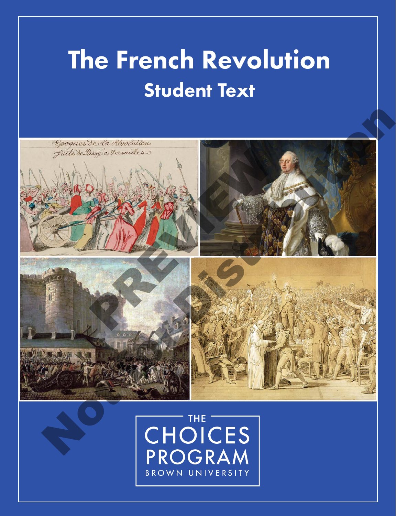## The French Revolution Student Text



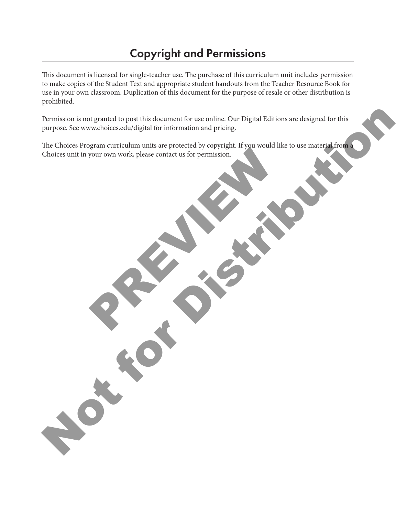## Copyright and Permissions

This document is licensed for single-teacher use. The purchase of this curriculum unit includes permission to make copies of the Student Text and appropriate student handouts from the Teacher Resource Book for use in your own classroom. Duplication of this document for the purpose of resale or other distribution is prohibited.

Permission is not granted to post this document for use online. Our Digital Editions are designed for this purpose. See www.choices.edu/digital for information and pricing.

The Choices Program curriculum units are protected by copyright. If you would like to use material from a Choices unit in your own work, please contact us for permission. FOUL OWN WORK, Please Contact us for permission. Permission is not granted to peat this document for use unline. Our Digital Editions are designed for this purpose. See www.dolocs.edu/digital for information and pricing.<br>He Choices Program curriculum units are protected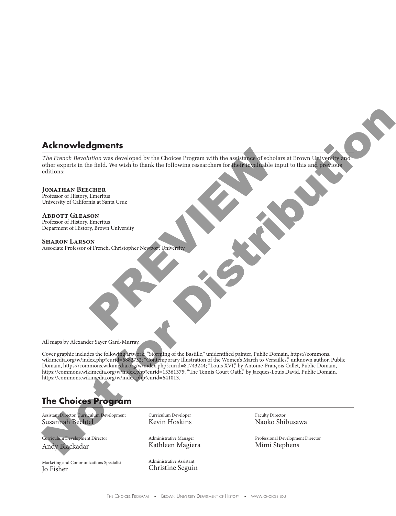### **Acknowledgments**

*The French Revolution* was developed by the Choices Program with the assistance of scholars at Brown University and other experts in the field. We wish to thank the following researchers for their invaluable input to this and previous editions: Exercise of scholars and a steveloped by the Choices Program with the assistance of scholars as the field. We wish to thank the following researchers for their invaluable input CHER Emeritus<br>
EMER Emeritus<br>
Emeritus<br>
PREVI

#### **Jonathan Beecher**

Professor of History, Emeritus University of California at Santa Cruz

**Abbott Gleason** Professor of History, Emeritus Deparment of History, Brown University

**Sharon Larson** Associate Professor of French, Christopher Newport University

All maps by Alexander Sayer Gard-Murray.

Cover graphic includes the following artwork: "Storming of the Bastille," unidentified painter, Public Domain, https://commons. wikimedia.org/w/index.php?curid=6882732; "Contemporary Illustration of the Women's March to Versailles," unknown author, Public Domain, https://commons.wikimedia.org/w/index.php?curid=81743244; "Louis XVI," by Antoine-François Callet, Public Domain, https://commons.wikimedia.org/w/index.php?curid=13361375; "The Tennis Court Oath," by Jacques-Louis David, Public Domain, https://commons.wikimedia.org/w/index.php?curid=641013. Acknowledgments<br>
The Franck Revision was developed by the Children Poyes with the production in the base<br>
Mathematic in the base of the School of the United School of the School of the School of the School of the School of

### **The Choices Program**

Assistant Director, Curriculum Development Susannah Bechtel

Curriculum Development Director Andy Blackadar

Marketing and Communications Specialist Jo Fisher

Curriculum Developer Kevin Hoskins

Administrative Manager Kathleen Magiera

Administrative Assistant Christine Seguin Faculty Director Naoko Shibusawa

Professional Development Director Mimi Stephens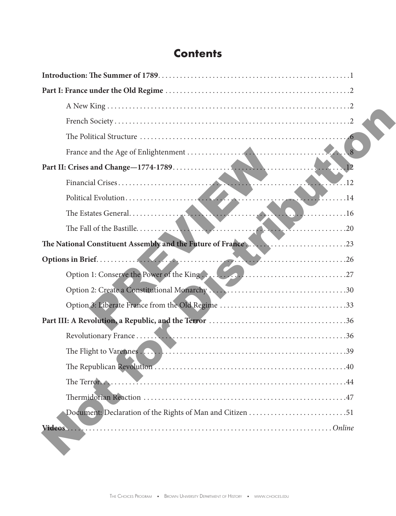## **Contents**

| The National Constituent Assembly and the Future of France23 |
|--------------------------------------------------------------|
|                                                              |
| Option 1: Conserve the Power of the King                     |
|                                                              |
|                                                              |
|                                                              |
|                                                              |
|                                                              |
|                                                              |
|                                                              |
|                                                              |
|                                                              |
|                                                              |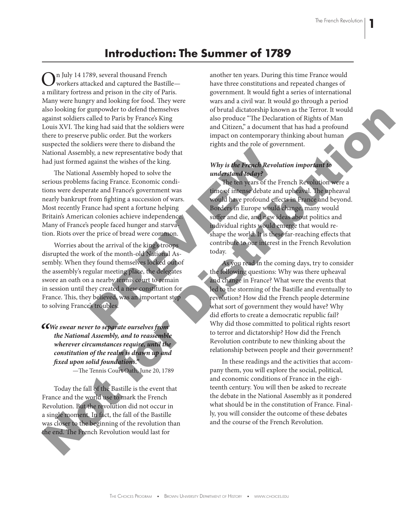## **Introduction: The Summer of 1789**

 $\sum_{\text{workers attached and captured the Bastille}$ a military fortress and prison in the city of Paris. Many were hungry and looking for food. They were also looking for gunpowder to defend themselves against soldiers called to Paris by France's King Louis XVI. The king had said that the soldiers were there to preserve public order. But the workers suspected the soldiers were there to disband the National Assembly, a new representative body that had just formed against the wishes of the king.

The National Assembly hoped to solve the serious problems facing France. Economic conditions were desperate and France's government was nearly bankrupt from fighting a succession of wars. Most recently France had spent a fortune helping Britain's American colonies achieve independence. Many of France's people faced hunger and starvation. Riots over the price of bread were common.

Worries about the arrival of the king's troops disrupted the work of the month-old National Assembly. When they found themselves locked out of the assembly's regular meeting place, the delegates swore an oath on a nearby tennis court to remain in session until they created a new constitution for France. This, they believed, was an important step to solving France's troubles. Note the set of the set of the set of the set of the set of the set of the set of the set of the set of the set of the French Revolution of the set of the French Revolution of the set of the French Revolution of the set of

*"We swear never to separate ourselves from the National Assembly, and to reassemble wherever circumstances require, until the constitution of the realm is drawn up and fixed upon solid foundations."*

—The Tennis Court Oath, June 20, 1789

Today the fall of the Bastille is the event that France and the world use to mark the French Revolution. But the revolution did not occur in a single moment. In fact, the fall of the Bastille was closer to the beginning of the revolution than the end. The French Revolution would last for

another ten years. During this time France would have three constitutions and repeated changes of government. It would fight a series of international wars and a civil war. It would go through a period of brutal dictatorship known as the Terror. It would also produce "The Declaration of Rights of Man and Citizen," a document that has had a profound impact on contemporary thinking about human rights and the role of government.

#### *Why is the French Revolution important to understand today?*

The ten years of the French Revolution were a time of intense debate and upheaval. The upheaval would have profound effects in France and beyond. Borders in Europe would change, many would suffer and die, and new ideas about politics and individual rights would emerge that would reshape the world. It is these far-reaching effects that contribute to our interest in the French Revolution today.

As you read in the coming days, try to consider the following questions: Why was there upheaval and change in France? What were the events that led to the storming of the Bastille and eventually to revolution? How did the French people determine what sort of government they would have? Why did efforts to create a democratic republic fail? Why did those committed to political rights resort to terror and dictatorship? How did the French Revolution contribute to new thinking about the relationship between people and their government? also looking for grappy of the bright sixten behavior at the bright sixten and E Crisis ( $\theta$  and the sixten and the sixten and the sixten and the sixten and the sixten and the sixten and the sixten and the sixten and the

In these readings and the activities that accompany them, you will explore the social, political, and economic conditions of France in the eighteenth century. You will then be asked to recreate the debate in the National Assembly as it pondered what should be in the constitution of France. Finally, you will consider the outcome of these debates and the course of the French Revolution.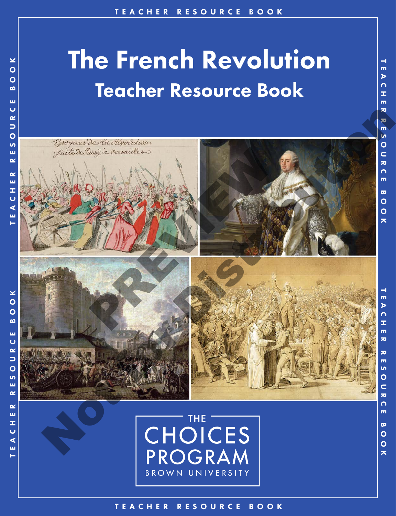# The French Revolution Teacher Resource Book



BROWN UNIVERSITY

TEACHER RESOURCE BOOK TEACHER RESOURCE BOOK

 $\rightarrow$ 

m  $\blacktriangleright$ 

 $\Omega$ 

Ŧ.

m

 $\geq$  $\overline{O}$  $\bullet$  $\bullet$ 

 $\frac{1}{2}$ 

**R**<br>O

 $\mathbf{v}$ u.  $\sim$ 

 $\pmb{\simeq}$ 

E A C H E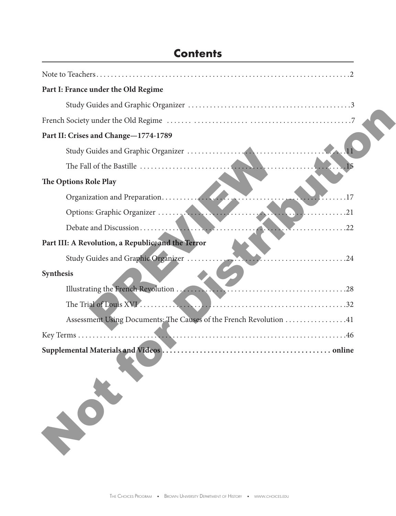| Part I: France under the Old Regime                                |
|--------------------------------------------------------------------|
|                                                                    |
|                                                                    |
| Part II: Crises and Change-1774-1789                               |
|                                                                    |
|                                                                    |
| The Options Role Play                                              |
| . 17                                                               |
|                                                                    |
|                                                                    |
| Part III: A Revolution, a Republic, and the Terror                 |
| Study Guides and Graphic Organizer                                 |
| Synthesis                                                          |
|                                                                    |
|                                                                    |
| Assessment Using Documents: The Causes of the French Revolution 41 |
|                                                                    |
|                                                                    |
|                                                                    |

## **Contents**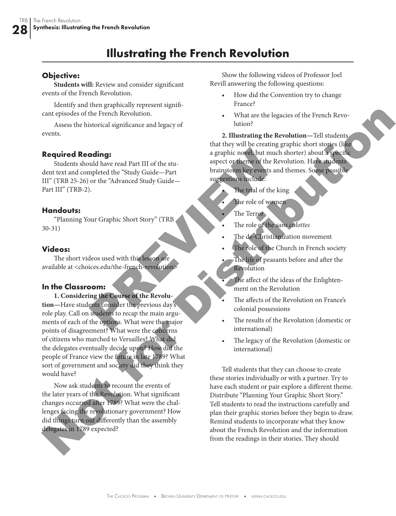## **Illustrating the French Revolution**

#### **Objective:**

**Students will:** Review and consider significant events of the French Revolution.

Identify and then graphically represent significant episodes of the French Revolution.

Assess the historical significance and legacy of events.

#### **Required Reading:**

Students should have read Part III of the student text and completed the "Study Guide—Part III" (TRB 25-26) or the "Advanced Study Guide— Part III" (TRB-2).

#### **Handouts:**

"Planning Your Graphic Short Story" (TRB 30-31)

#### **Videos:**

The short videos used with this lesson are available at <choices.edu/the-french-revolution>

#### **In the Classroom:**

**1. Considering the Course of the Revolution—**Have students consider the previous day's role play. Call on students to recap the main arguments of each of the options. What were the major points of disagreement? What were the concerns of citizens who marched to Versailles? What did the delegates eventually decide upon? How did the people of France view the future in late 1789? What sort of government and society did they think they would have? and a straphic notel, but much as<br>
uld have read Part III of the stu-<br>
mpleted the "Study Guide—<br>
or the "Advanced Study Guide—<br>
or the "Advanced Study Guide—<br>
or the "Advanced Study Guide—<br>
or the Terror strep of the Rive can guide of the Freedom Constrained Repubblicance and legacy of<br>
According the Recording Constrained Significance and legacy of<br>
2. Illustrating the Recording tensor of the Recording of the State of the State of the Cons

Now ask students to recount the events of the later years of the Revolution. What significant changes occurred after 1789? What were the challenges facing the revolutionary government? How did things turn out differently than the assembly delegates in 1789 expected?

Show the following videos of Professor Joel Revill answering the following questions:

- How did the Convention try to change France?
- What are the legacies of the French Revolution?

**2. Illustrating the Revolution—**Tell students that they will be creating graphic short stories (like a graphic novel, but much shorter) about a specific aspect or theme of the Revolution. Have students brainstorm key events and themes. Some possible suggestions include:

- The trial of the king
- The role of women
- The Terror
- The role of the *sans culottes*
- The de-Christianization movement
- The role of the Church in French society
- The life of peasants before and after the Revolution
- The affect of the ideas of the Enlightenment on the Revolution
- The affects of the Revolution on France's colonial possessions
- The results of the Revolution (domestic or international)
- The legacy of the Revolution (domestic or international)

Tell students that they can choose to create these stories individually or with a partner. Try to have each student or pair explore a different theme. Distribute "Planning Your Graphic Short Story." Tell students to read the instructions carefully and plan their graphic stories before they begin to draw. Remind students to incorporate what they know about the French Revolution and the information from the readings in their stories. They should

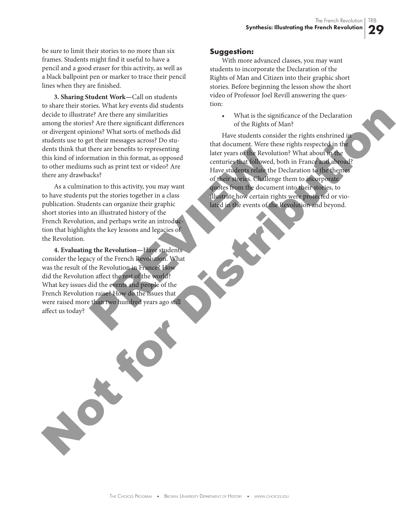be sure to limit their stories to no more than six frames. Students might find it useful to have a pencil and a good eraser for this activity, as well as a black ballpoint pen or marker to trace their pencil lines when they are finished.

**3. Sharing Student Work—**Call on students to share their stories. What key events did students decide to illustrate? Are there any similarities among the stories? Are there significant differences or divergent opinions? What sorts of methods did students use to get their messages across? Do students think that there are benefits to representing this kind of information in this format, as opposed to other mediums such as print text or video? Are there any drawbacks?

As a culmination to this activity, you may want to have students put the stories together in a class publication. Students can organize their graphic short stories into an illustrated history of the French Revolution, and perhaps write an introduction that highlights the key lessons and legacies of the Revolution.

**4. Evaluating the Revolution—**Have students consider the legacy of the French Revolution. What was the result of the Revolution in France? How did the Revolution affect the rest of the world? What key issues did the events and people of the French Revolution raise? How do the issues that were raised more than two hundred years ago still affect us today? there are benefits to representing<br>
mation in this format, as opposed<br>
as such as print text or video? Are<br>
such as print text or video? Are<br>
such as such as print text or video? Are<br>
the state of their stories conducted<br>

#### **Suggestion:**

With more advanced classes, you may want students to incorporate the Declaration of the Rights of Man and Citizen into their graphic short stories. Before beginning the lesson show the short video of Professor Joel Revill answering the question:

> What is the significance of the Declaration of the Rights of Man?

Have students consider the rights enshrined in that document. Were these rights respected in the later years of the Revolution? What about in the centuries that followed, both in France and abroad? Have students relate the Declaration to the themes of their stories. Challenge them to incorporate quotes from the document into their stories, to illustrate how certain rights were protected or violated in the events of the Revolution and beyond. decide to limit and the experimental Architecture of the Resident Control and the experimental and the experimental and the experimental and the experimental and the experimental and the experimental and the experimental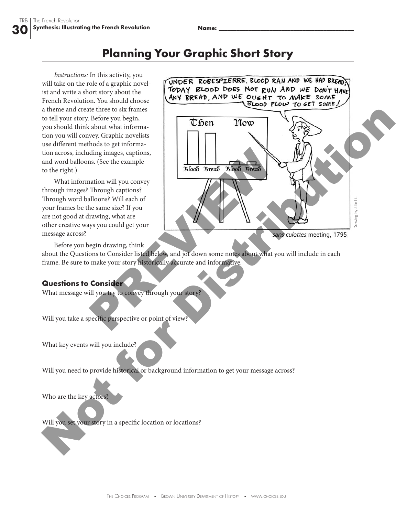TRB

## **Planning Your Graphic Short Story**

*Instructions:* In this activity, you will take on the role of a graphic novelist and write a short story about the French Revolution. You should choose a theme and create three to six frames to tell your story. Before you begin, you should think about what information you will convey. Graphic novelists use different methods to get information across, including images, captions, and word balloons. (See the example to the right.)

What information will you convey through images? Through captions? Through word balloons? Will each of your frames be the same size? If you are not good at drawing, what are other creative ways you could get your message across?



Before you begin drawing, think

about the Questions to Consider listed below, and jot down some notes about what you will include in each frame. Be sure to make your story historically accurate and informative.

#### **Questions to Consider**

What message will you try to convey through your story?

Will you take a specific perspective or point of view?

What key events will you include?

Will you need to provide historical or background information to get your message across?

Who are the key actors?

Will you set your story in a specific location or locations?